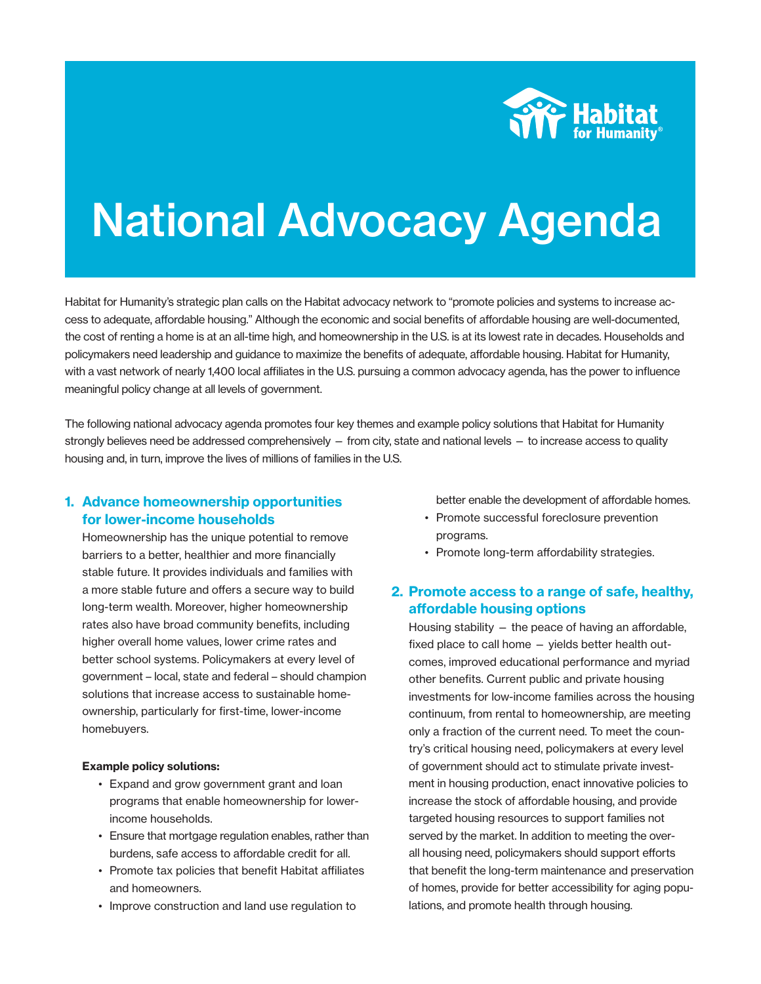

# National Advocacy Agenda

Habitat for Humanity's strategic plan calls on the Habitat advocacy network to "promote policies and systems to increase access to adequate, affordable housing." Although the economic and social benefits of affordable housing are well-documented, the cost of renting a home is at an all-time high, and homeownership in the U.S. is at its lowest rate in decades. Households and policymakers need leadership and guidance to maximize the benefits of adequate, affordable housing. Habitat for Humanity, with a vast network of nearly 1,400 local affiliates in the U.S. pursuing a common advocacy agenda, has the power to influence meaningful policy change at all levels of government.

The following national advocacy agenda promotes four key themes and example policy solutions that Habitat for Humanity strongly believes need be addressed comprehensively — from city, state and national levels — to increase access to quality housing and, in turn, improve the lives of millions of families in the U.S.

#### 1. Advance homeownership opportunities for lower-income households

Homeownership has the unique potential to remove barriers to a better, healthier and more financially stable future. It provides individuals and families with a more stable future and offers a secure way to build long-term wealth. Moreover, higher homeownership rates also have broad community benefits, including higher overall home values, lower crime rates and better school systems. Policymakers at every level of government – local, state and federal – should champion solutions that increase access to sustainable homeownership, particularly for first-time, lower-income homebuyers.

#### Example policy solutions:

- Expand and grow government grant and loan programs that enable homeownership for lower income households.
- Ensure that mortgage regulation enables, rather than burdens, safe access to affordable credit for all.
- Promote tax policies that benefit Habitat affiliates and homeowners.
- Improve construction and land use regulation to

better enable the development of affordable homes.

- Promote successful foreclosure prevention programs.
- Promote long-term affordability strategies.

# 2. Promote access to a range of safe, healthy, affordable housing options

Housing stability — the peace of having an affordable, fixed place to call home — yields better health outcomes, improved educational performance and myriad other benefits. Current public and private housing investments for low-income families across the housing continuum, from rental to homeownership, are meeting only a fraction of the current need. To meet the country's critical housing need, policymakers at every level of government should act to stimulate private investment in housing production, enact innovative policies to increase the stock of affordable housing, and provide targeted housing resources to support families not served by the market. In addition to meeting the overall housing need, policymakers should support efforts that benefit the long-term maintenance and preservation of homes, provide for better accessibility for aging populations, and promote health through housing.